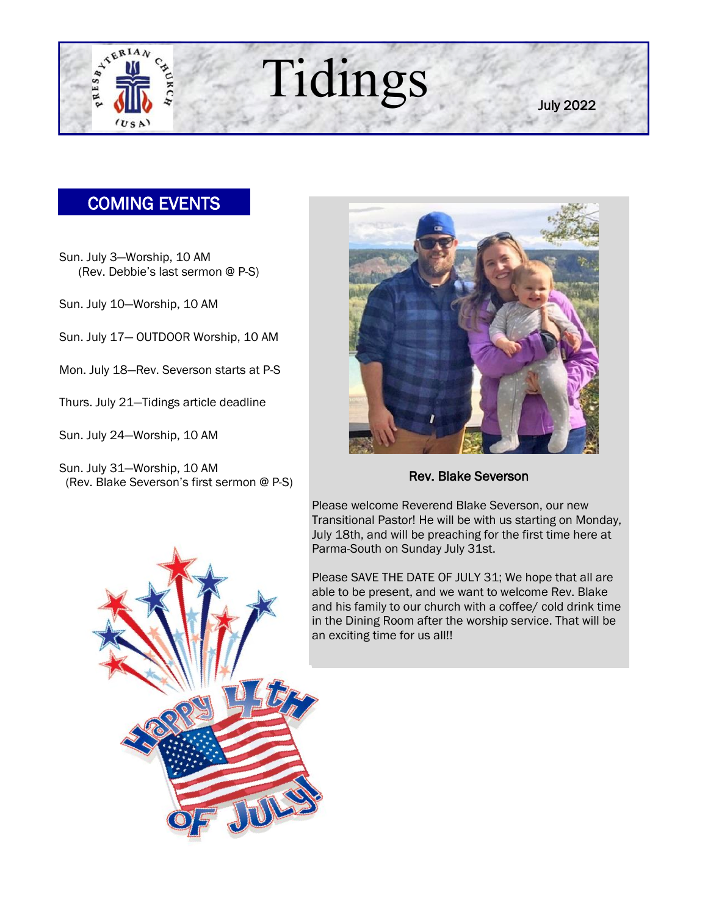

July 2022

## COMING EVENTS

Sun. July 3—Worship, 10 AM (Rev. Debbie's last sermon @ P-S)

Sun. July 10—Worship, 10 AM

Sun. July 17— OUTDOOR Worship, 10 AM

Mon. July 18—Rev. Severson starts at P-S

Thurs. July 21—Tidings article deadline

Sun. July 24—Worship, 10 AM

Sun. July 31—Worship, 10 AM (Rev. Blake Severson's first sermon @ P-S)



Rev. Blake Severson

Please welcome Reverend Blake Severson, our new Transitional Pastor! He will be with us starting on Monday, July 18th, and will be preaching for the first time here at Parma-South on Sunday July 31st.

Please SAVE THE DATE OF JULY 31; We hope that all are able to be present, and we want to welcome Rev. Blake and his family to our church with a coffee/ cold drink time in the Dining Room after the worship service. That will be an exciting time for us all!!

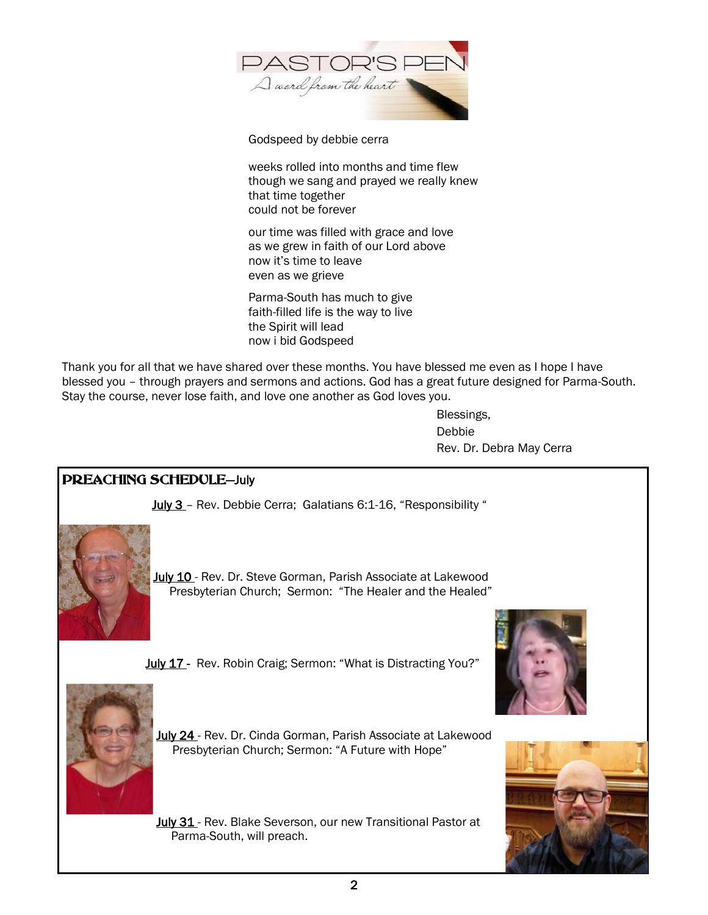

Godspeed by debbie cerra

weeks rolled into months and time flew though we sang and prayed we really knew that time together could not be forever

our time was filled with grace and love as we grew in faith of our Lord above now it's time to leave even as we grieve

Parma-South has much to give faith-filled life is the way to live the Spirit will lead now i bid Godspeed

Thank you for all that we have shared over these months. You have blessed me even as I hope I have blessed you – through prayers and sermons and actions. God has a great future designed for Parma-South. Stay the course, never lose faith, and love one another as God loves you.

> Blessings, Debbie Rev. Dr. Debra May Cerra

#### PREACHING SCHEDULE—July

July 3 – Rev. Debbie Cerra; Galatians 6:1-16, "Responsibility "



July 10 - Rev. Dr. Steve Gorman, Parish Associate at Lakewood Presbyterian Church; Sermon: "The Healer and the Healed"

July 17 - Rev. Robin Craig; Sermon: "What is Distracting You?"



July 24 - Rev. Dr. Cinda Gorman, Parish Associate at Lakewood Presbyterian Church; Sermon: "A Future with Hope"

July 31 - Rev. Blake Severson, our new Transitional Pastor at Parma-South, will preach.



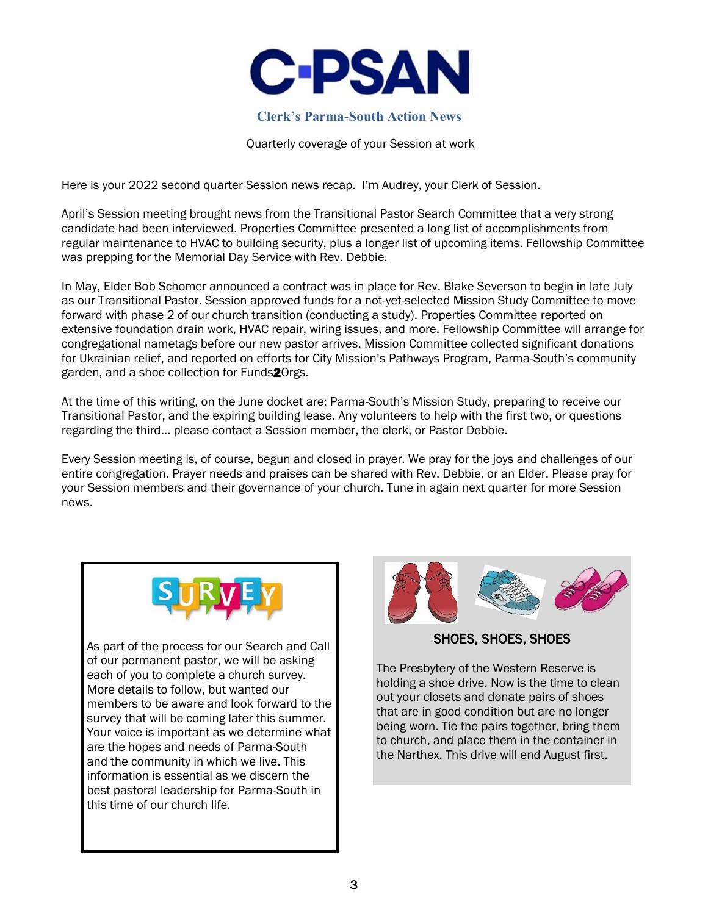

#### **Clerk's Parma-South Action News**

Quarterly coverage of your Session at work

Here is your 2022 second quarter Session news recap. I'm Audrey, your Clerk of Session.

April's Session meeting brought news from the Transitional Pastor Search Committee that a very strong candidate had been interviewed. Properties Committee presented a long list of accomplishments from regular maintenance to HVAC to building security, plus a longer list of upcoming items. Fellowship Committee was prepping for the Memorial Day Service with Rev. Debbie.

In May, Elder Bob Schomer announced a contract was in place for Rev. Blake Severson to begin in late July as our Transitional Pastor. Session approved funds for a not-yet-selected Mission Study Committee to move forward with phase 2 of our church transition (conducting a study). Properties Committee reported on extensive foundation drain work, HVAC repair, wiring issues, and more. Fellowship Committee will arrange for congregational nametags before our new pastor arrives. Mission Committee collected significant donations for Ukrainian relief, and reported on efforts for City Mission's Pathways Program, Parma-South's community garden, and a shoe collection for Funds<sup>20</sup>rgs.

At the time of this writing, on the June docket are: Parma-South's Mission Study, preparing to receive our Transitional Pastor, and the expiring building lease. Any volunteers to help with the first two, or questions regarding the third… please contact a Session member, the clerk, or Pastor Debbie.

Every Session meeting is, of course, begun and closed in prayer. We pray for the joys and challenges of our entire congregation. Prayer needs and praises can be shared with Rev. Debbie, or an Elder. Please pray for your Session members and their governance of your church. Tune in again next quarter for more Session news.



As part of the process for our Search and Call of our permanent pastor, we will be asking each of you to complete a church survey. More details to follow, but wanted our members to be aware and look forward to the survey that will be coming later this summer. Your voice is important as we determine what are the hopes and needs of Parma-South and the community in which we live. This information is essential as we discern the best pastoral leadership for Parma-South in this time of our church life.



SHOES, SHOES, SHOES

The Presbytery of the Western Reserve is holding a shoe drive. Now is the time to clean out your closets and donate pairs of shoes that are in good condition but are no longer being worn. Tie the pairs together, bring them to church, and place them in the container in the Narthex. This drive will end August first.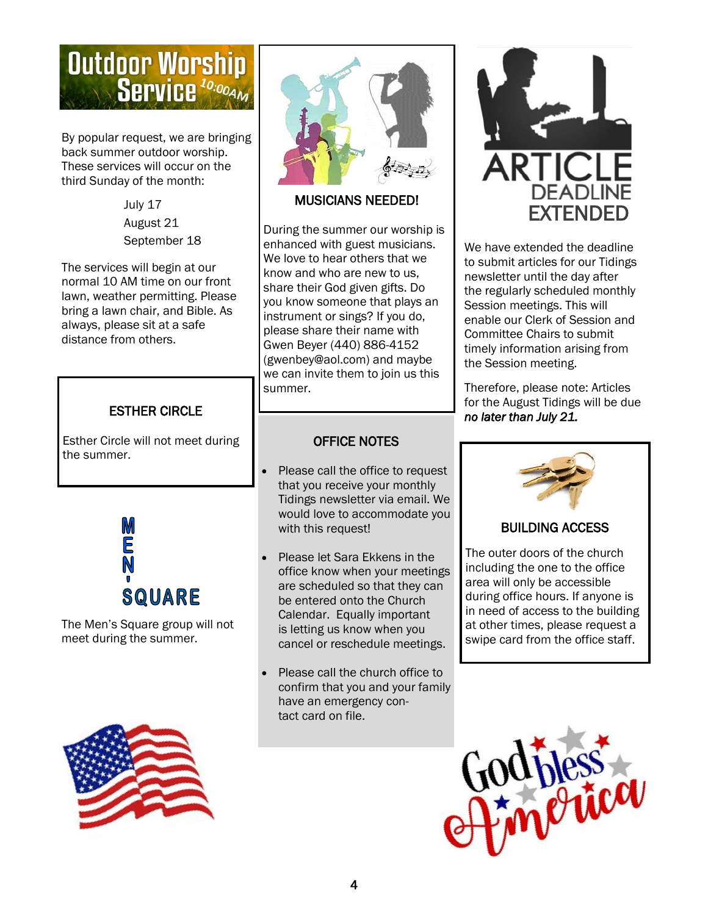# **Outdoor Worship Service**<sup>10:00AM</sup>

By popular request, we are bringing back summer outdoor worship. These services will occur on the third Sunday of the month:

> July 17 August 21 September 18

The services will begin at our normal 10 AM time on our front lawn, weather permitting. Please bring a lawn chair, and Bible. As always, please sit at a safe distance from others.

Esther Circle will not meet during the summer.



The Men's Square group will not meet during the summer.





#### MUSICIANS NEEDED!

During the summer our worship is enhanced with guest musicians. We love to hear others that we know and who are new to us, share their God given gifts. Do you know someone that plays an instrument or sings? If you do, please share their name with Gwen Beyer (440) 886-4152 (gwenbey@aol.com) and maybe we can invite them to join us this summer.

### OFFICE NOTES

- Please call the office to request that you receive your monthly Tidings newsletter via email. We would love to accommodate you with this request!
- Please let Sara Ekkens in the office know when your meetings are scheduled so that they can be entered onto the Church Calendar. Equally important is letting us know when you cancel or reschedule meetings.
- Please call the church office to confirm that you and your family have an emergency contact card on file.



We have extended the deadline to submit articles for our Tidings newsletter until the day after the regularly scheduled monthly Session meetings. This will enable our Clerk of Session and Committee Chairs to submit timely information arising from the Session meeting.

Therefore, please note: Articles for the August Tidings will be due **ESTHER CIRCLE No. 32.2** *no later than July 21.* 



#### BUILDING ACCESS

The outer doors of the church including the one to the office area will only be accessible during office hours. If anyone is in need of access to the building at other times, please request a swipe card from the office staff.

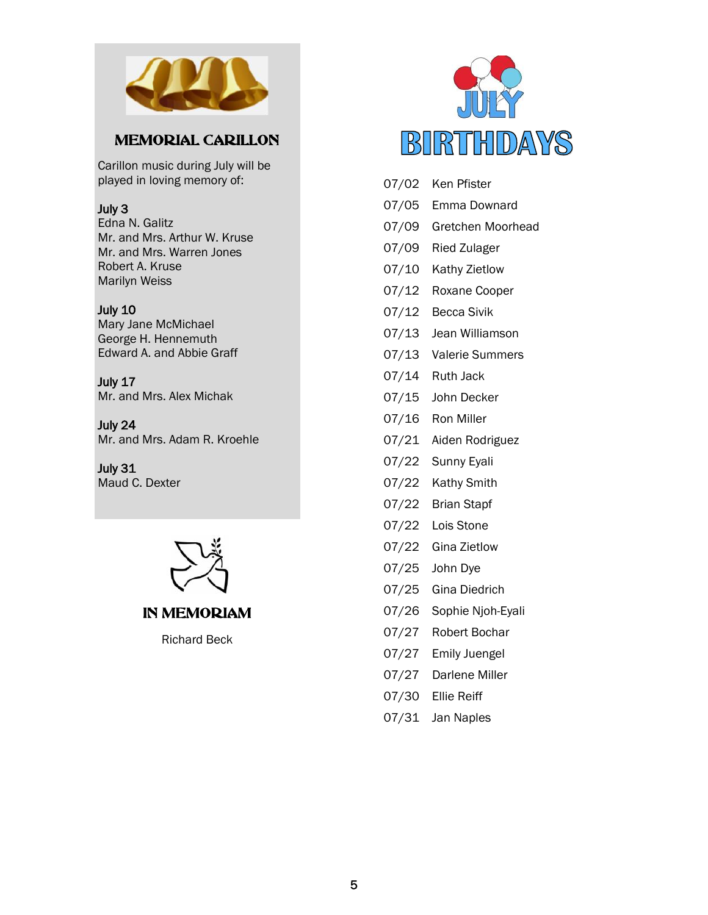

### MEMORIAL CARILLON

Carillon music during July will be played in loving memory of:

#### July 3

Edna N. Galitz Mr. and Mrs. Arthur W. Kruse Mr. and Mrs. Warren Jones Robert A. Kruse Marilyn Weiss

#### July 10

Mary Jane McMichael George H. Hennemuth Edward A. and Abbie Graff

July 17 Mr. and Mrs. Alex Michak

July 24 Mr. and Mrs. Adam R. Kroehle

July 31 Maud C. Dexter





Richard Beck



| 07/02 | Ken Pfister           |
|-------|-----------------------|
| 07/05 | Emma Downard          |
| 07/09 | Gretchen Moorhead     |
| 07/09 | <b>Ried Zulager</b>   |
| 07/10 | Kathy Zietlow         |
| 07/12 | Roxane Cooper         |
|       | 07/12 Becca Sivik     |
|       | 07/13 Jean Williamson |
| 07/13 | Valerie Summers       |
|       | 07/14 Ruth Jack       |
| 07/15 | John Decker           |
|       | 07/16 Ron Miller      |
|       | 07/21 Aiden Rodriguez |
| 07/22 | Sunny Eyali           |
| 07/22 | <b>Kathy Smith</b>    |
| 07/22 | <b>Brian Stapf</b>    |
| 07/22 | Lois Stone            |
| 07/22 | Gina Zietlow          |
| 07/25 | John Dye              |
| 07/25 | <b>Gina Diedrich</b>  |
| 07/26 | Sophie Njoh-Eyali     |
| 07/27 | <b>Robert Bochar</b>  |
| 07/27 | <b>Emily Juengel</b>  |
| 07/27 | Darlene Miller        |

- 07/30 Ellie Reiff
- 07/31 Jan Naples